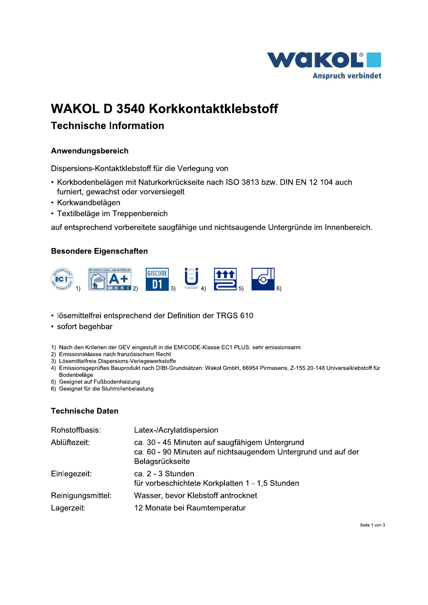

# **WAKOL D 3540 Korkkontaktklebstoff**

spersions-Kontaktklebstoff für die Verlegung von

- WAKOL D 3540 Kol<br>Technische Information<br>Anwendungsbereich<br>Dispersions-Kontaktklebstoff für d<br>• Korkbodenbelägen mit Naturkor<br>furniert, gewachst oder vorversie<br>• Korkwandbelägen<br>• Textilbeläge im Treppenbereich<br>auf entsprec • Korkbodenbelägen mit Naturkorkrückseite nach ISO 3813 bzw. DIN EN 12 104 auch furniert, gewachst oder vorversiegelt
	- Korkwandbelägen
	- Textilbeläge im Treppenbereich

auf entsprechend vorbereitete saugfähige und nichtsaugende Untergründe im Innenbereich



- ttelfrei entsprechend der Definition der TRGS 610
- sofort begehbar
- 1) Nach den Kriterien der GEV eingestuft in die EMICODE-Klasse EC1 PLUS: sehr emissionsarm
- 2) Emissionsklasse nach französischem Recht
- 3) Lösemittelfreie Dispersions-Verlegewerkstoffe
- 4) Emissionsgeprüftes Bauprodukt nach DIBt-Grundsätzen: Wakol GmbH, 66954 Pirmasens, Z-155.20-148 Universalklebstoff für Bodenbelage
- 5) Geeignet auf Fußbodenheizung
- 6) Geeignet für die Stuhlrollenbelastung

### Technische Daten

| Rohstoffbasis:    | Latex-/Acrylatdispersion                                                                                                           |
|-------------------|------------------------------------------------------------------------------------------------------------------------------------|
| Ablüftezeit:      | ca. 30 - 45 Minuten auf saugfähigem Untergrund<br>ca. 60 - 90 Minuten auf nichtsaugendem Untergrund und auf der<br>Belagsrückseite |
| Einlegezeit:      | ca. 2 - 3 Stunden<br>für vorbeschichtete Korkplatten 1 - 1,5 Stunden                                                               |
| Reinigungsmittel: | Wasser, bevor Klebstoff antrocknet                                                                                                 |
| Lagerzeit:        | 12 Monate bei Raumtemperatur                                                                                                       |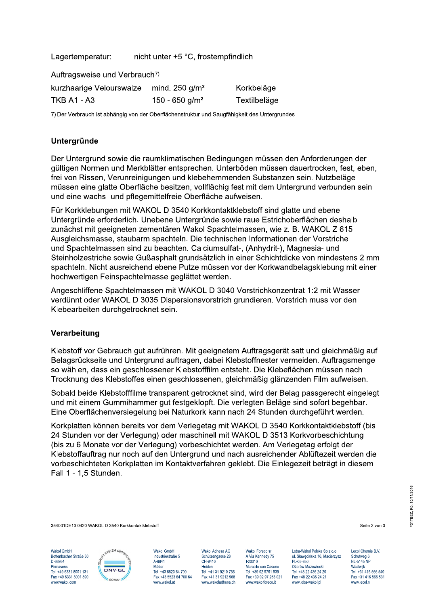Lagertemperatur: nicht unter +5 °C, frostempfindlich

Auftragsweise und Verbrauch7)

| kurzhaarige Velourswalze mind. 250 g/m <sup>2</sup> |                            | Korkbeläge   |
|-----------------------------------------------------|----------------------------|--------------|
| <b>TKB A1 - A3</b>                                  | 150 - 650 g/m <sup>2</sup> | Textilbeläge |

7) Der Verbrauch ist abhängig von der Oberflächenstruktur und Saugfähigkeit des Untergrundes.

## Untergründe

Der Untergrund sowie die raumklimatischen Bedingungen müssen den Anforderungen der gültigen Normen und Merkblätter entsprechen. Unterböden müssen dauertrocken, fest, eben, frei von Rissen, Verunreinigungen und klebehemmenden Substanzen sein. Nutzbeläge müssen eine glatte Oberfläche besitzen, vollflächig fest mit dem Untergrund verbunden sein und eine wachs- und pflegemittelfreie Oberfläche aufweisen.

Für Korkklebungen mit WAKOL D 3540 Korkkontaktklebstoff sind glatte und ebene Untergründe erforderlich. Unebene Untergründe sowie raue Estrichoberflächen deshalb zunächst mit geeigneten zementären Wakol Spachtelmassen, wie z. B. WAKOL Z 615 Ausgleichsmasse, staubarm spachteln. Die technischen Informationen der Vorstriche und Spachtelmassen sind zu beachten. Calciumsulfat-, (Anhydrit-). Magnesia- und Steinholzestriche sowie Gußasphalt grundsätzlich in einer Schichtdicke von mindestens 2 mm spachteln. Nicht ausreichend ebene Putze müssen vor der Korkwandbelagsklebung mit einer hochwertigen Feinspachtelmasse geglättet werden.

Angeschliffene Spachtelmassen mit WAKOL D 3040 Vorstrichkonzentrat 1:2 mit Wasser verdünnt oder WAKOL D 3035 Dispersionsvorstrich grundieren. Vorstrich muss vor den Klebearbeiten durchgetrocknet sein.

### Verarbeitung

Klebstoff vor Gebrauch gut aufrühren. Mit geeignetem Auftragsgerät satt und gleichmäßig auf Belagsrückseite und Untergrund auftragen, dabei Klebstoffnester vermeiden. Auftragsmenge so wählen, dass ein geschlossener Klebstofffilm entsteht. Die Klebeflächen müssen nach Trocknung des Klebstoffes einen geschlossenen, gleichmäßig glänzenden Film aufweisen.

Sobald beide Klebstofffilme transparent getrocknet sind, wird der Belag passgerecht eingelegt und mit einem Gummihammer gut festgeklopft. Die verlegten Beläge sind sofort begehbar. Eine Oberflächenversiegelung bei Naturkork kann nach 24 Stunden durchgeführt werden.

Korkplatten können bereits vor dem Verlegetag mit WAKOL D 3540 Korkkontaktklebstoff (bis 24 Stunden vor der Verlegung) oder maschinell mit WAKOL D 3513 Korkvorbeschichtung (bis zu 6 Monate vor der Verlegung) vorbeschichtet werden. Am Verlegetag erfolgt der Klebstoffauftrag nur noch auf den Untergrund und nach ausreichender Ablüftezeit werden die vorbeschichteten Korkplatten im Kontaktverfahren geklebt. Die Einlegezeit beträgt in diesem Fall 1 - 1,5 Stunden.

354001DE13 0420 WAKOL D 3540 Korkkontaktklebstoff

Wakol GmbH Bottenbacher Straße 30 D-66954 Pirmasens Tel. +49 6331 8001 131 Fax +49 6331 8001 890 www.wakol.com



Wakol GmbH Industriestraße 5 A-6841 Mäder Tel. +43 5523 64 700 Fax +43 5523 64 700 64 www.wakol.at

Wakol Adhesa AG Schützengasse 28 CH-9410 Heiden Tel. +41 31 9210 755 Fax +41 31 9212 968 www.wakoladhesa.ch Wakol Foreco srl A Via Kennedy 75  $1-20010$ Marcallo con Casone Tel. +39 02 9761 939 Fax +39 02 97 253 021 www.wakolforeco.it

Loba-Wakol Polska Sp.z o.o. ul. Sławęcińska 16, Macierzysz PL-05-850 Ożarów Mazowiecki Tel. +48 22 436 24 20 Fax +48 22 436 24 21 www.loba-wakol.pl

Lecol Chemie B.V. Schutweg 6<br>NL-5145 NP Waalwijk Tel. +31 416 566 540 Fax +31 416 566 531 www.lecol.nl

Seite 2 von 3